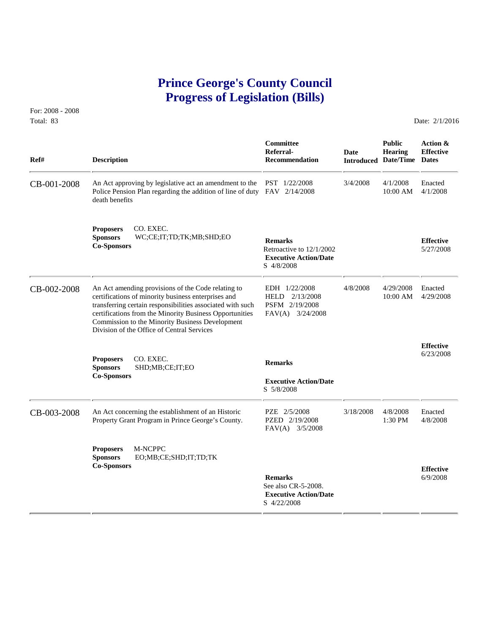## **Prince George's County Council Progress of Legislation (Bills)**

For: 2008 - 2008 Total: 83 Date: 2/1/2016

 **Committee Public Action & Referral- Date Hearing Effective Ref# Description Recommendation Introduced Date/Time Dates** CB-001-2008 An Act approving by legislative act an amendment to the PST 1/22/2008 3/4/2008 4/1/2008 Enacted<br>Police Pension Plan regarding the addition of line of duty FAV 2/14/2008 10:00 AM 4/1/2008 Police Pension Plan regarding the addition of line of duty FAV 2/14/2008 death benefits **Proposers** CO. EXEC. **Sponsors** WC;CE;IT;TD;TK;MB;SHD;EO **Remarks Effective Effective Co-Sponsors Effective Effective Effective Effective Effective Effective Effective Effective Effective Exhause Effective Exhause Executive Action/Date** S 4/8/2008 CB-002-2008 An Act amending provisions of the Code relating to EDH 1/22/2008 4/8/2008 4/29/2008 Enacted<br>certifications of minority business enterprises and HELD 2/13/2008 10:00 AM 4/29/2008 certifications of minority business enterprises and transferring certain responsibilities associated with such PSFM 2/19/2008 certifications from the Minority Business Opportunities FAV(A) 3/24/2008 Commission to the Minority Business Development Division of the Office of Central Services **Effective** 6/23/2008 **Proposers** CO. EXEC. **Remarks Sponsors** SHD;MB;CE;IT;EO **Co-Sponsors Executive Action/Date** S 5/8/2008 CB-003-2008 An Act concerning the establishment of an Historic PZE 2/5/2008 3/18/2008 4/8/2008 Enacted<br>Property Grant Program in Prince George's County. PZED 2/19/2008 1:30 PM 4/8/2008 Property Grant Program in Prince George's County. FAV(A) 3/5/2008 **Proposers** M-NCPPC **Sponsors** EO;MB;CE;SHD;IT;TD;TK **Co-Sponsors Effective Remarks** 6/9/2008 See also CR-5-2008.  **Executive Action/Date** S 4/22/2008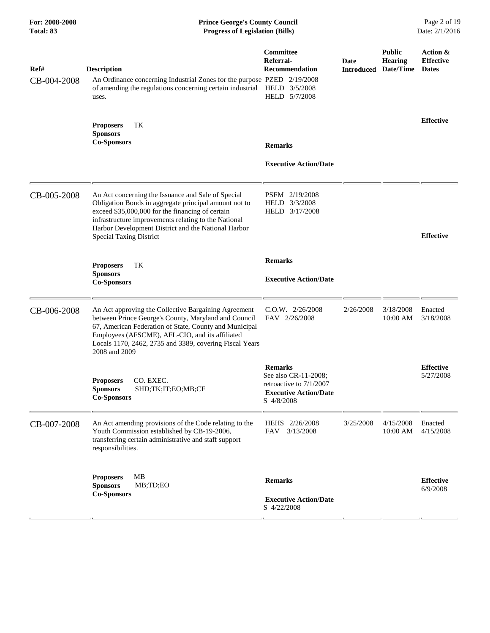| For: 2008-2008<br>Total: 83 | <b>Prince George's County Council</b><br><b>Progress of Legislation (Bills)</b>                                                                                                                                                                                                                                  |                                                                                                                 |                           | Page 2 of 19<br>Date: 2/1/2016               |                                              |  |
|-----------------------------|------------------------------------------------------------------------------------------------------------------------------------------------------------------------------------------------------------------------------------------------------------------------------------------------------------------|-----------------------------------------------------------------------------------------------------------------|---------------------------|----------------------------------------------|----------------------------------------------|--|
| Ref#<br>CB-004-2008         | <b>Description</b><br>An Ordinance concerning Industrial Zones for the purpose PZED 2/19/2008<br>of amending the regulations concerning certain industrial<br>uses.                                                                                                                                              | Committee<br>Referral-<br>Recommendation<br>HELD 3/5/2008<br>HELD 5/7/2008                                      | Date<br><b>Introduced</b> | <b>Public</b><br><b>Hearing</b><br>Date/Time | Action &<br><b>Effective</b><br><b>Dates</b> |  |
|                             | TК<br><b>Proposers</b><br><b>Sponsors</b><br><b>Co-Sponsors</b>                                                                                                                                                                                                                                                  | <b>Remarks</b><br><b>Executive Action/Date</b>                                                                  |                           |                                              | <b>Effective</b>                             |  |
| CB-005-2008                 | An Act concerning the Issuance and Sale of Special<br>Obligation Bonds in aggregate principal amount not to<br>exceed \$35,000,000 for the financing of certain<br>infrastructure improvements relating to the National<br>Harbor Development District and the National Harbor<br><b>Special Taxing District</b> | PSFM 2/19/2008<br>HELD 3/3/2008<br>HELD 3/17/2008                                                               |                           |                                              | <b>Effective</b>                             |  |
|                             | TK<br><b>Proposers</b><br><b>Sponsors</b><br><b>Co-Sponsors</b>                                                                                                                                                                                                                                                  | <b>Remarks</b><br><b>Executive Action/Date</b>                                                                  |                           |                                              |                                              |  |
| CB-006-2008                 | An Act approving the Collective Bargaining Agreement<br>between Prince George's County, Maryland and Council<br>67, American Federation of State, County and Municipal<br>Employees (AFSCME), AFL-CIO, and its affiliated<br>Locals 1170, 2462, 2735 and 3389, covering Fiscal Years<br>2008 and 2009            | C.O.W. 2/26/2008<br>FAV 2/26/2008                                                                               | 2/26/2008                 | 3/18/2008<br>10:00 AM                        | Enacted<br>3/18/2008                         |  |
|                             | CO. EXEC.<br><b>Proposers</b><br><b>Sponsors</b><br>SHD;TK;IT;EO;MB;CE<br><b>Co-Sponsors</b>                                                                                                                                                                                                                     | <b>Remarks</b><br>See also CR-11-2008;<br>retroactive to 7/1/2007<br><b>Executive Action/Date</b><br>S 4/8/2008 |                           |                                              | <b>Effective</b><br>5/27/2008                |  |
| CB-007-2008                 | An Act amending provisions of the Code relating to the<br>Youth Commission established by CB-19-2006,<br>transferring certain administrative and staff support<br>responsibilities.                                                                                                                              | HEHS 2/26/2008<br>3/13/2008<br>FAV                                                                              | 3/25/2008                 | 4/15/2008<br>10:00 AM                        | Enacted<br>4/15/2008                         |  |
|                             | MB<br><b>Proposers</b><br><b>Sponsors</b><br>MB;TD;EO<br><b>Co-Sponsors</b>                                                                                                                                                                                                                                      | <b>Remarks</b><br><b>Executive Action/Date</b><br>S 4/22/2008                                                   |                           |                                              | <b>Effective</b><br>6/9/2008                 |  |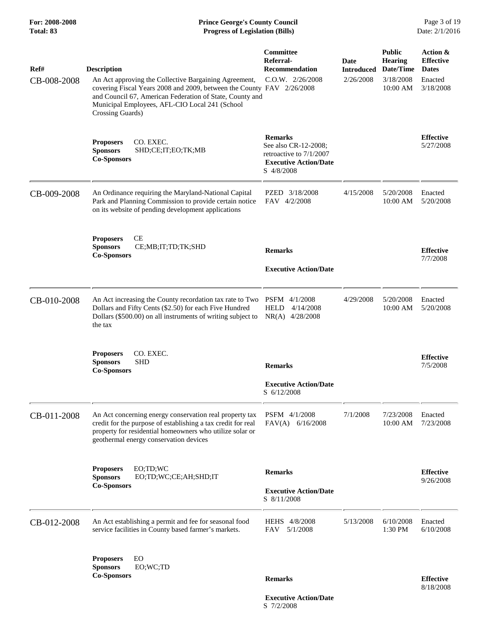| Ref#<br>CB-008-2008 | <b>Description</b><br>An Act approving the Collective Bargaining Agreement,<br>covering Fiscal Years 2008 and 2009, between the County FAV 2/26/2008<br>and Council 67, American Federation of State, County and<br>Municipal Employees, AFL-CIO Local 241 (School<br>Crossing Guards) | Committee<br>Referral-<br><b>Recommendation</b><br>$C.0.W.$ $2/26/2008$                                         | Date<br><b>Introduced</b><br>2/26/2008 | <b>Public</b><br>Hearing<br>Date/Time<br>3/18/2008<br>10:00 AM | Action &<br><b>Effective</b><br><b>Dates</b><br>Enacted<br>3/18/2008 |
|---------------------|----------------------------------------------------------------------------------------------------------------------------------------------------------------------------------------------------------------------------------------------------------------------------------------|-----------------------------------------------------------------------------------------------------------------|----------------------------------------|----------------------------------------------------------------|----------------------------------------------------------------------|
|                     | CO. EXEC.<br><b>Proposers</b><br><b>Sponsors</b><br>SHD;CE;IT;EO;TK;MB<br><b>Co-Sponsors</b>                                                                                                                                                                                           | <b>Remarks</b><br>See also CR-12-2008;<br>retroactive to 7/1/2007<br><b>Executive Action/Date</b><br>S 4/8/2008 |                                        |                                                                | <b>Effective</b><br>5/27/2008                                        |
| CB-009-2008         | An Ordinance requiring the Maryland-National Capital<br>Park and Planning Commission to provide certain notice<br>on its website of pending development applications                                                                                                                   | PZED 3/18/2008<br>FAV 4/2/2008                                                                                  | 4/15/2008                              | 5/20/2008<br>10:00 AM                                          | Enacted<br>5/20/2008                                                 |
|                     | <b>Proposers</b><br>CЕ<br><b>Sponsors</b><br>CE;MB;IT;TD;TK;SHD<br><b>Co-Sponsors</b>                                                                                                                                                                                                  | <b>Remarks</b><br><b>Executive Action/Date</b>                                                                  |                                        |                                                                | <b>Effective</b><br>7/7/2008                                         |
| CB-010-2008         | An Act increasing the County recordation tax rate to Two PSFM 4/1/2008<br>Dollars and Fifty Cents (\$2.50) for each Five Hundred<br>Dollars (\$500.00) on all instruments of writing subject to<br>the tax                                                                             | <b>HELD</b><br>4/14/2008<br>NR(A) 4/28/2008                                                                     | 4/29/2008                              | 5/20/2008<br>10:00 AM                                          | Enacted<br>5/20/2008                                                 |
|                     | CO. EXEC.<br><b>Proposers</b><br><b>SHD</b><br><b>Sponsors</b><br><b>Co-Sponsors</b>                                                                                                                                                                                                   | <b>Remarks</b><br><b>Executive Action/Date</b><br>S 6/12/2008                                                   |                                        |                                                                | <b>Effective</b><br>7/5/2008                                         |
| CB-011-2008         | An Act concerning energy conservation real property tax<br>credit for the purpose of establishing a tax credit for real<br>property for residential homeowners who utilize solar or<br>geothermal energy conservation devices                                                          | PSFM 4/1/2008<br>$FAV(A)$ 6/16/2008                                                                             | 7/1/2008                               | 7/23/2008<br>10:00 AM                                          | Enacted<br>7/23/2008                                                 |
|                     | <b>Proposers</b><br>EO;TD;WC<br>EO;TD;WC;CE;AH;SHD;IT<br><b>Sponsors</b><br><b>Co-Sponsors</b>                                                                                                                                                                                         | <b>Remarks</b><br><b>Executive Action/Date</b><br>S 8/11/2008                                                   |                                        |                                                                | <b>Effective</b><br>9/26/2008                                        |
| CB-012-2008         | An Act establishing a permit and fee for seasonal food<br>service facilities in County based farmer's markets.                                                                                                                                                                         | HEHS 4/8/2008<br>5/1/2008<br><b>FAV</b>                                                                         | 5/13/2008                              | 6/10/2008<br>1:30 PM                                           | Enacted<br>6/10/2008                                                 |
|                     | EO<br><b>Proposers</b><br>EO;WC;TD<br><b>Sponsors</b><br><b>Co-Sponsors</b>                                                                                                                                                                                                            | <b>Remarks</b>                                                                                                  |                                        |                                                                | <b>Effective</b><br>8/18/2008                                        |

 **Executive Action/Date** S 7/2/2008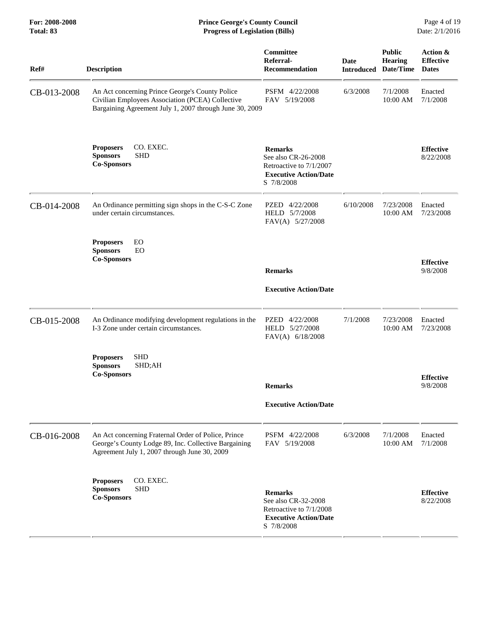| <b>Prince George's County Council</b><br><b>Progress of Legislation (Bills)</b>                                                                             |                                                                                                                |                                                         |                                 | Page 4 of 19<br>Date: 2/1/2016               |
|-------------------------------------------------------------------------------------------------------------------------------------------------------------|----------------------------------------------------------------------------------------------------------------|---------------------------------------------------------|---------------------------------|----------------------------------------------|
| <b>Description</b>                                                                                                                                          | <b>Committee</b><br>Referral-<br><b>Recommendation</b>                                                         | Date                                                    | <b>Public</b><br><b>Hearing</b> | Action &<br><b>Effective</b><br><b>Dates</b> |
| An Act concerning Prince George's County Police<br>Civilian Employees Association (PCEA) Collective                                                         | PSFM 4/22/2008<br>FAV 5/19/2008                                                                                | 6/3/2008                                                | 7/1/2008<br>10:00 AM            | Enacted<br>7/1/2008                          |
| CO. EXEC.<br><b>Proposers</b><br><b>SHD</b><br><b>Sponsors</b><br><b>Co-Sponsors</b>                                                                        | <b>Remarks</b><br>See also CR-26-2008<br>Retroactive to 7/1/2007<br><b>Executive Action/Date</b><br>S 7/8/2008 |                                                         |                                 | <b>Effective</b><br>8/22/2008                |
| An Ordinance permitting sign shops in the C-S-C Zone<br>under certain circumstances.                                                                        | PZED 4/22/2008<br>HELD 5/7/2008<br>FAV(A) 5/27/2008                                                            | 6/10/2008                                               | 7/23/2008<br>10:00 AM           | Enacted<br>7/23/2008                         |
| EO<br><b>Proposers</b><br><b>Sponsors</b><br>EO<br><b>Co-Sponsors</b>                                                                                       | <b>Remarks</b><br><b>Executive Action/Date</b>                                                                 |                                                         |                                 | <b>Effective</b><br>9/8/2008                 |
| An Ordinance modifying development regulations in the<br>I-3 Zone under certain circumstances.                                                              | PZED 4/22/2008<br>HELD 5/27/2008<br>FAV(A) 6/18/2008                                                           | 7/1/2008                                                | 7/23/2008<br>10:00 AM           | Enacted<br>7/23/2008                         |
| <b>SHD</b><br><b>Proposers</b><br><b>Sponsors</b><br>SHD;AH<br><b>Co-Sponsors</b>                                                                           |                                                                                                                |                                                         |                                 | <b>Effective</b>                             |
|                                                                                                                                                             | <b>Remarks</b><br><b>Executive Action/Date</b>                                                                 |                                                         |                                 | 9/8/2008                                     |
| An Act concerning Fraternal Order of Police, Prince<br>George's County Lodge 89, Inc. Collective Bargaining<br>Agreement July 1, 2007 through June 30, 2009 | PSFM 4/22/2008<br>FAV 5/19/2008                                                                                | 6/3/2008                                                | 7/1/2008<br>10:00 AM            | Enacted<br>7/1/2008                          |
| CO. EXEC.<br><b>Proposers</b><br><b>SHD</b><br><b>Sponsors</b><br><b>Co-Sponsors</b>                                                                        | <b>Remarks</b><br>See also CR-32-2008<br>Retroactive to 7/1/2008<br><b>Executive Action/Date</b><br>S 7/8/2008 |                                                         |                                 | <b>Effective</b><br>8/22/2008                |
|                                                                                                                                                             |                                                                                                                | Bargaining Agreement July 1, 2007 through June 30, 2009 |                                 | <b>Introduced Date/Time</b>                  |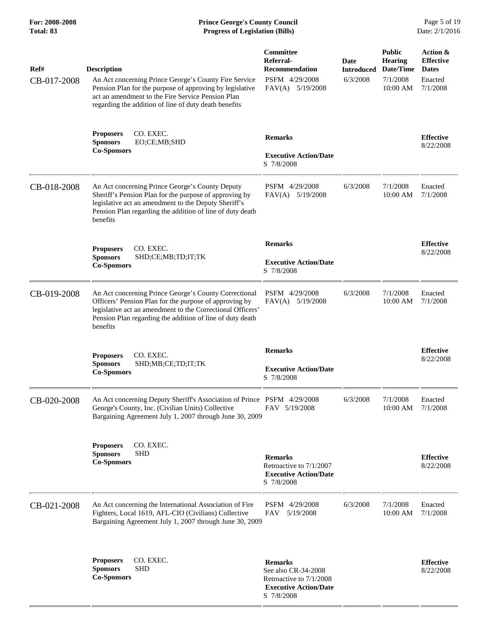| Ref#<br>CB-017-2008 | <b>Description</b><br>An Act concerning Prince George's County Fire Service<br>Pension Plan for the purpose of approving by legislative<br>act an amendment to the Fire Service Pension Plan<br>regarding the addition of line of duty death benefits  | Committee<br>Referral-<br><b>Recommendation</b><br>PSFM 4/29/2008<br>FAV(A) 5/19/2008   | Date<br><b>Introduced</b><br>6/3/2008 | <b>Public</b><br><b>Hearing</b><br>Date/Time<br>7/1/2008<br>$10:00$ AM | Action &<br><b>Effective</b><br><b>Dates</b><br>Enacted<br>7/1/2008 |
|---------------------|--------------------------------------------------------------------------------------------------------------------------------------------------------------------------------------------------------------------------------------------------------|-----------------------------------------------------------------------------------------|---------------------------------------|------------------------------------------------------------------------|---------------------------------------------------------------------|
|                     | CO. EXEC.<br><b>Proposers</b><br><b>Sponsors</b><br>EO;CE;MB;SHD<br><b>Co-Sponsors</b>                                                                                                                                                                 | <b>Remarks</b><br><b>Executive Action/Date</b><br>S 7/8/2008                            |                                       |                                                                        | <b>Effective</b><br>8/22/2008                                       |
| CB-018-2008         | An Act concerning Prince George's County Deputy<br>Sheriff's Pension Plan for the purpose of approving by<br>legislative act an amendment to the Deputy Sheriff's<br>Pension Plan regarding the addition of line of duty death<br>benefits             | PSFM 4/29/2008<br>FAV(A) 5/19/2008                                                      | 6/3/2008                              | 7/1/2008<br>10:00 AM                                                   | Enacted<br>7/1/2008                                                 |
|                     | CO. EXEC.<br><b>Proposers</b><br><b>Sponsors</b><br>SHD;CE;MB;TD;IT;TK<br><b>Co-Sponsors</b>                                                                                                                                                           | <b>Remarks</b><br><b>Executive Action/Date</b><br>S 7/8/2008                            |                                       |                                                                        | <b>Effective</b><br>8/22/2008                                       |
| CB-019-2008         | An Act concerning Prince George's County Correctional<br>Officers' Pension Plan for the purpose of approving by<br>legislative act an amendment to the Correctional Officers'<br>Pension Plan regarding the addition of line of duty death<br>benefits | PSFM 4/29/2008<br>$FAV(A)$ 5/19/2008                                                    | 6/3/2008                              | 7/1/2008<br>10:00 AM                                                   | Enacted<br>7/1/2008                                                 |
|                     | <b>Proposers</b><br>CO. EXEC.<br><b>Sponsors</b><br>SHD;MB;CE;TD;IT;TK<br><b>Co-Sponsors</b>                                                                                                                                                           | <b>Remarks</b><br><b>Executive Action/Date</b><br>S 7/8/2008                            |                                       |                                                                        | <b>Effective</b><br>8/22/2008                                       |
| CB-020-2008         | An Act concerning Deputy Sheriff's Association of Prince PSFM 4/29/2008<br>George's County, Inc. (Civilian Units) Collective<br>Bargaining Agreement July 1, 2007 through June 30, 2009                                                                | FAV 5/19/2008                                                                           | 6/3/2008                              | 7/1/2008<br>10:00 AM                                                   | Enacted<br>7/1/2008                                                 |
|                     | CO. EXEC.<br><b>Proposers</b><br><b>Sponsors</b><br><b>SHD</b><br><b>Co-Sponsors</b>                                                                                                                                                                   | <b>Remarks</b><br>Retroactive to 7/1/2007<br><b>Executive Action/Date</b><br>S 7/8/2008 |                                       |                                                                        | <b>Effective</b><br>8/22/2008                                       |
| CB-021-2008         | An Act concerning the International Association of Fire<br>Fighters, Local 1619, AFL-CIO (Civilians) Collective<br>Bargaining Agreement July 1, 2007 through June 30, 2009                                                                             | PSFM 4/29/2008<br>5/19/2008<br>FAV                                                      | 6/3/2008                              | 7/1/2008<br>10:00 AM                                                   | Enacted<br>7/1/2008                                                 |
|                     | CO. EXEC.<br><b>Proposers</b><br><b>Sponsors</b><br><b>SHD</b><br><b>Co-Sponsors</b>                                                                                                                                                                   | <b>Remarks</b><br>See also CR-34-2008<br>Retroactive to 7/1/2008                        |                                       |                                                                        | <b>Effective</b><br>8/22/2008                                       |

 **Executive Action/Date**

S 7/8/2008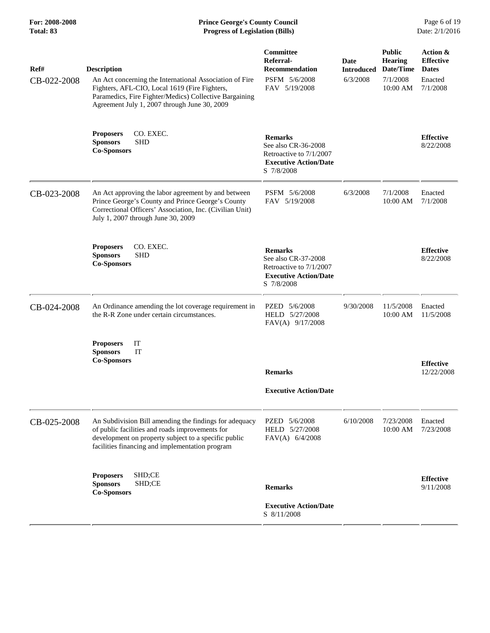| Ref#<br>CB-022-2008 | <b>Description</b><br>An Act concerning the International Association of Fire<br>Fighters, AFL-CIO, Local 1619 (Fire Fighters,<br>Paramedics, Fire Fighter/Medics) Collective Bargaining<br>Agreement July 1, 2007 through June 30, 2009 | Committee<br>Referral-<br><b>Recommendation</b><br>PSFM 5/6/2008<br>FAV 5/19/2008                              | <b>Date</b><br><b>Introduced</b><br>6/3/2008 | <b>Public</b><br><b>Hearing</b><br>Date/Time<br>7/1/2008<br>$10:00$ AM | Action &<br><b>Effective</b><br><b>Dates</b><br>Enacted<br>7/1/2008 |
|---------------------|------------------------------------------------------------------------------------------------------------------------------------------------------------------------------------------------------------------------------------------|----------------------------------------------------------------------------------------------------------------|----------------------------------------------|------------------------------------------------------------------------|---------------------------------------------------------------------|
|                     | CO. EXEC.<br><b>Proposers</b><br><b>Sponsors</b><br><b>SHD</b><br><b>Co-Sponsors</b>                                                                                                                                                     | <b>Remarks</b><br>See also CR-36-2008<br>Retroactive to 7/1/2007<br><b>Executive Action/Date</b><br>S 7/8/2008 |                                              |                                                                        | <b>Effective</b><br>8/22/2008                                       |
| CB-023-2008         | An Act approving the labor agreement by and between<br>Prince George's County and Prince George's County<br>Correctional Officers' Association, Inc. (Civilian Unit)<br>July 1, 2007 through June 30, 2009                               | PSFM 5/6/2008<br>FAV 5/19/2008                                                                                 | 6/3/2008                                     | 7/1/2008<br>10:00 AM                                                   | Enacted<br>7/1/2008                                                 |
|                     | CO. EXEC.<br><b>Proposers</b><br><b>SHD</b><br><b>Sponsors</b><br><b>Co-Sponsors</b>                                                                                                                                                     | <b>Remarks</b><br>See also CR-37-2008<br>Retroactive to 7/1/2007<br><b>Executive Action/Date</b><br>S 7/8/2008 |                                              |                                                                        | <b>Effective</b><br>8/22/2008                                       |
| CB-024-2008         | An Ordinance amending the lot coverage requirement in<br>the R-R Zone under certain circumstances.                                                                                                                                       | PZED 5/6/2008<br>HELD 5/27/2008<br>FAV(A) 9/17/2008                                                            | 9/30/2008                                    | 11/5/2008<br>10:00 AM                                                  | Enacted<br>11/5/2008                                                |
|                     | IT<br><b>Proposers</b><br>IT<br><b>Sponsors</b><br><b>Co-Sponsors</b>                                                                                                                                                                    | <b>Remarks</b><br><b>Executive Action/Date</b>                                                                 |                                              |                                                                        | <b>Effective</b><br>12/22/2008                                      |
| CB-025-2008         | An Subdivision Bill amending the findings for adequacy<br>of public facilities and roads improvements for<br>development on property subject to a specific public<br>facilities financing and implementation program                     | PZED 5/6/2008<br>HELD 5/27/2008<br>FAV(A) 6/4/2008                                                             | 6/10/2008                                    | 7/23/2008<br>10:00 AM                                                  | Enacted<br>7/23/2008                                                |
|                     | SHD;CE<br><b>Proposers</b><br>SHD;CE<br><b>Sponsors</b><br><b>Co-Sponsors</b>                                                                                                                                                            | <b>Remarks</b><br><b>Executive Action/Date</b><br>S 8/11/2008                                                  |                                              |                                                                        | <b>Effective</b><br>9/11/2008                                       |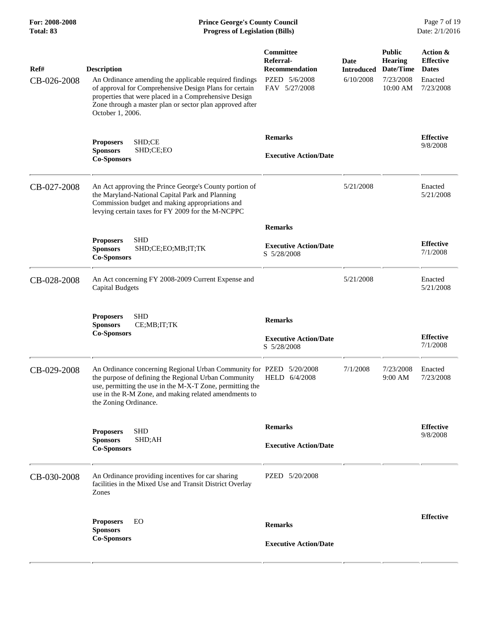| For: 2008-2008<br><b>Total: 83</b> | <b>Prince George's County Council</b><br><b>Progress of Legislation (Bills)</b>                                                                                                                                                                                                 |                                                                                          |                                        |                                                                       | Page 7 of 19<br>Date: 2/1/2016                                       |  |
|------------------------------------|---------------------------------------------------------------------------------------------------------------------------------------------------------------------------------------------------------------------------------------------------------------------------------|------------------------------------------------------------------------------------------|----------------------------------------|-----------------------------------------------------------------------|----------------------------------------------------------------------|--|
| Ref#<br>CB-026-2008                | <b>Description</b><br>An Ordinance amending the applicable required findings<br>of approval for Comprehensive Design Plans for certain<br>properties that were placed in a Comprehensive Design<br>Zone through a master plan or sector plan approved after<br>October 1, 2006. | <b>Committee</b><br>Referral-<br><b>Recommendation</b><br>PZED 5/6/2008<br>FAV 5/27/2008 | Date<br><b>Introduced</b><br>6/10/2008 | <b>Public</b><br><b>Hearing</b><br>Date/Time<br>7/23/2008<br>10:00 AM | Action &<br><b>Effective</b><br><b>Dates</b><br>Enacted<br>7/23/2008 |  |
|                                    | SHD;CE<br><b>Proposers</b><br><b>Sponsors</b><br>SHD;CE;EO<br><b>Co-Sponsors</b>                                                                                                                                                                                                | <b>Remarks</b><br><b>Executive Action/Date</b>                                           |                                        |                                                                       | <b>Effective</b><br>9/8/2008                                         |  |
| CB-027-2008                        | An Act approving the Prince George's County portion of<br>the Maryland-National Capital Park and Planning<br>Commission budget and making appropriations and<br>levying certain taxes for FY 2009 for the M-NCPPC                                                               |                                                                                          | 5/21/2008                              |                                                                       | Enacted<br>5/21/2008                                                 |  |
|                                    | <b>SHD</b><br><b>Proposers</b><br><b>Sponsors</b><br>SHD;CE;EO;MB;IT;TK<br><b>Co-Sponsors</b>                                                                                                                                                                                   | <b>Remarks</b><br><b>Executive Action/Date</b><br>S 5/28/2008                            |                                        |                                                                       | <b>Effective</b><br>7/1/2008                                         |  |
| CB-028-2008                        | An Act concerning FY 2008-2009 Current Expense and<br><b>Capital Budgets</b>                                                                                                                                                                                                    |                                                                                          | 5/21/2008                              |                                                                       | Enacted<br>5/21/2008                                                 |  |
|                                    | <b>SHD</b><br><b>Proposers</b><br><b>Sponsors</b><br>CE;MB;IT;TK<br><b>Co-Sponsors</b>                                                                                                                                                                                          | <b>Remarks</b><br><b>Executive Action/Date</b><br>S 5/28/2008                            |                                        |                                                                       | <b>Effective</b><br>7/1/2008                                         |  |
| CB-029-2008                        | An Ordinance concerning Regional Urban Community for PZED 5/20/2008<br>the purpose of defining the Regional Urban Community<br>use, permitting the use in the M-X-T Zone, permitting the<br>use in the R-M Zone, and making related amendments to<br>the Zoning Ordinance.      | HELD 6/4/2008                                                                            | 7/1/2008                               | 7/23/2008<br>9:00 AM                                                  | Enacted<br>7/23/2008                                                 |  |
|                                    | <b>SHD</b><br><b>Proposers</b><br><b>Sponsors</b><br>SHD;AH<br><b>Co-Sponsors</b>                                                                                                                                                                                               | <b>Remarks</b><br><b>Executive Action/Date</b>                                           |                                        |                                                                       | <b>Effective</b><br>9/8/2008                                         |  |
| CB-030-2008                        | An Ordinance providing incentives for car sharing<br>facilities in the Mixed Use and Transit District Overlay<br>Zones                                                                                                                                                          | PZED 5/20/2008                                                                           |                                        |                                                                       |                                                                      |  |
|                                    | <b>Proposers</b><br>EO<br><b>Sponsors</b>                                                                                                                                                                                                                                       | <b>Remarks</b>                                                                           |                                        |                                                                       | <b>Effective</b>                                                     |  |
|                                    | <b>Co-Sponsors</b>                                                                                                                                                                                                                                                              | <b>Executive Action/Date</b>                                                             |                                        |                                                                       |                                                                      |  |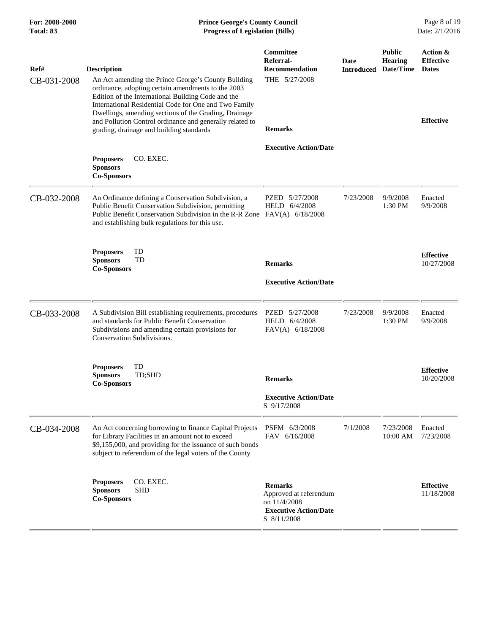| For: 2008-2008<br><b>Total: 83</b> | <b>Prince George's County Council</b><br><b>Progress of Legislation (Bills)</b>                                                                                                                                                                                                                                                                                                                                 |                                                                                                         |                           |                                              | Page 8 of 19<br>Date: 2/1/2016                                   |
|------------------------------------|-----------------------------------------------------------------------------------------------------------------------------------------------------------------------------------------------------------------------------------------------------------------------------------------------------------------------------------------------------------------------------------------------------------------|---------------------------------------------------------------------------------------------------------|---------------------------|----------------------------------------------|------------------------------------------------------------------|
| Ref#<br>CB-031-2008                | <b>Description</b><br>An Act amending the Prince George's County Building<br>ordinance, adopting certain amendments to the 2003<br>Edition of the International Building Code and the<br>International Residential Code for One and Two Family<br>Dwellings, amending sections of the Grading, Drainage<br>and Pollution Control ordinance and generally related to<br>grading, drainage and building standards | <b>Committee</b><br>Referral-<br><b>Recommendation</b><br>THE 5/27/2008<br><b>Remarks</b>               | Date<br><b>Introduced</b> | <b>Public</b><br><b>Hearing</b><br>Date/Time | Action &<br><b>Effective</b><br><b>Dates</b><br><b>Effective</b> |
|                                    | CO. EXEC.<br><b>Proposers</b><br><b>Sponsors</b><br><b>Co-Sponsors</b>                                                                                                                                                                                                                                                                                                                                          | <b>Executive Action/Date</b>                                                                            |                           |                                              |                                                                  |
| CB-032-2008                        | An Ordinance defining a Conservation Subdivision, a<br>Public Benefit Conservation Subdivision, permitting<br>Public Benefit Conservation Subdivision in the R-R Zone<br>and establishing bulk regulations for this use.                                                                                                                                                                                        | PZED 5/27/2008<br>HELD 6/4/2008<br>$FAV(A)$ 6/18/2008                                                   | 7/23/2008                 | 9/9/2008<br>1:30 PM                          | Enacted<br>9/9/2008                                              |
|                                    | TD<br><b>Proposers</b><br>TD<br><b>Sponsors</b><br><b>Co-Sponsors</b>                                                                                                                                                                                                                                                                                                                                           | <b>Remarks</b><br><b>Executive Action/Date</b>                                                          |                           |                                              | <b>Effective</b><br>10/27/2008                                   |
| CB-033-2008                        | A Subdivision Bill establishing requirements, procedures<br>and standards for Public Benefit Conservation<br>Subdivisions and amending certain provisions for<br><b>Conservation Subdivisions.</b>                                                                                                                                                                                                              | PZED 5/27/2008<br>HELD 6/4/2008<br>FAV(A) 6/18/2008                                                     | 7/23/2008                 | 9/9/2008<br>1:30 PM                          | Enacted<br>9/9/2008                                              |
|                                    | <b>Proposers</b><br>TD<br>TD;SHD<br><b>Sponsors</b><br><b>Co-Sponsors</b>                                                                                                                                                                                                                                                                                                                                       | <b>Remarks</b><br><b>Executive Action/Date</b><br>S 9/17/2008                                           |                           |                                              | <b>Effective</b><br>10/20/2008                                   |
| CB-034-2008                        | An Act concerning borrowing to finance Capital Projects<br>for Library Facilities in an amount not to exceed<br>\$9,155,000, and providing for the issuance of such bonds<br>subject to referendum of the legal voters of the County                                                                                                                                                                            | PSFM 6/3/2008<br>FAV 6/16/2008                                                                          | 7/1/2008                  | 7/23/2008<br>10:00 AM                        | Enacted<br>7/23/2008                                             |
|                                    | CO. EXEC.<br><b>Proposers</b><br><b>Sponsors</b><br><b>SHD</b><br><b>Co-Sponsors</b>                                                                                                                                                                                                                                                                                                                            | <b>Remarks</b><br>Approved at referendum<br>on 11/4/2008<br><b>Executive Action/Date</b><br>S 8/11/2008 |                           |                                              | <b>Effective</b><br>11/18/2008                                   |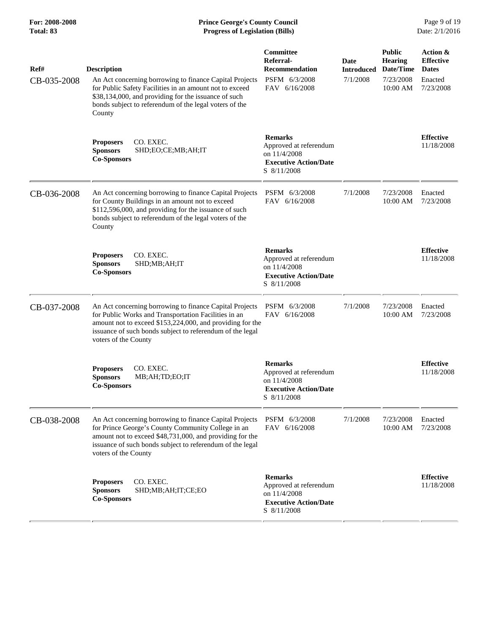| Ref#        | <b>Description</b>                                                                                                                                                                                                                                                | Committee<br>Referral-<br>Recommendation                                                                | Date<br><b>Introduced</b> | <b>Public</b><br><b>Hearing</b><br>Date/Time | Action &<br><b>Effective</b><br><b>Dates</b> |
|-------------|-------------------------------------------------------------------------------------------------------------------------------------------------------------------------------------------------------------------------------------------------------------------|---------------------------------------------------------------------------------------------------------|---------------------------|----------------------------------------------|----------------------------------------------|
| CB-035-2008 | An Act concerning borrowing to finance Capital Projects<br>for Public Safety Facilities in an amount not to exceed<br>\$38,134,000, and providing for the issuance of such<br>bonds subject to referendum of the legal voters of the<br>County                    | PSFM 6/3/2008<br>FAV 6/16/2008                                                                          | 7/1/2008                  | 7/23/2008<br>10:00 AM                        | Enacted<br>7/23/2008                         |
|             | CO. EXEC.<br><b>Proposers</b><br><b>Sponsors</b><br>SHD;EO;CE;MB;AH;IT<br><b>Co-Sponsors</b>                                                                                                                                                                      | <b>Remarks</b><br>Approved at referendum<br>on 11/4/2008<br><b>Executive Action/Date</b><br>S 8/11/2008 |                           |                                              | <b>Effective</b><br>11/18/2008               |
| CB-036-2008 | An Act concerning borrowing to finance Capital Projects<br>for County Buildings in an amount not to exceed<br>\$112,596,000, and providing for the issuance of such<br>bonds subject to referendum of the legal voters of the<br>County                           | PSFM 6/3/2008<br>FAV 6/16/2008                                                                          | 7/1/2008                  | 7/23/2008<br>10:00 AM                        | Enacted<br>7/23/2008                         |
|             | CO. EXEC.<br><b>Proposers</b><br><b>Sponsors</b><br>SHD;MB;AH;IT<br><b>Co-Sponsors</b>                                                                                                                                                                            | <b>Remarks</b><br>Approved at referendum<br>on 11/4/2008<br><b>Executive Action/Date</b><br>S 8/11/2008 |                           |                                              | <b>Effective</b><br>11/18/2008               |
| CB-037-2008 | An Act concerning borrowing to finance Capital Projects<br>for Public Works and Transportation Facilities in an<br>amount not to exceed \$153,224,000, and providing for the<br>issuance of such bonds subject to referendum of the legal<br>voters of the County | PSFM 6/3/2008<br>FAV 6/16/2008                                                                          | 7/1/2008                  | 7/23/2008<br>10:00 AM                        | Enacted<br>7/23/2008                         |
|             | CO. EXEC.<br><b>Proposers</b><br><b>Sponsors</b><br>MB;AH;TD;EO;IT<br><b>Co-Sponsors</b>                                                                                                                                                                          | <b>Remarks</b><br>Approved at referendum<br>on 11/4/2008<br><b>Executive Action/Date</b><br>S 8/11/2008 |                           |                                              | <b>Effective</b><br>11/18/2008               |
| CB-038-2008 | An Act concerning borrowing to finance Capital Projects<br>for Prince George's County Community College in an<br>amount not to exceed \$48,731,000, and providing for the<br>issuance of such bonds subject to referendum of the legal<br>voters of the County    | PSFM 6/3/2008<br>FAV 6/16/2008                                                                          | 7/1/2008                  | 7/23/2008<br>10:00 AM                        | Enacted<br>7/23/2008                         |
|             | CO. EXEC.<br><b>Proposers</b><br><b>Sponsors</b><br>SHD;MB;AH;IT;CE;EO<br><b>Co-Sponsors</b>                                                                                                                                                                      | <b>Remarks</b><br>Approved at referendum<br>on 11/4/2008<br><b>Executive Action/Date</b><br>S 8/11/2008 |                           |                                              | <b>Effective</b><br>11/18/2008               |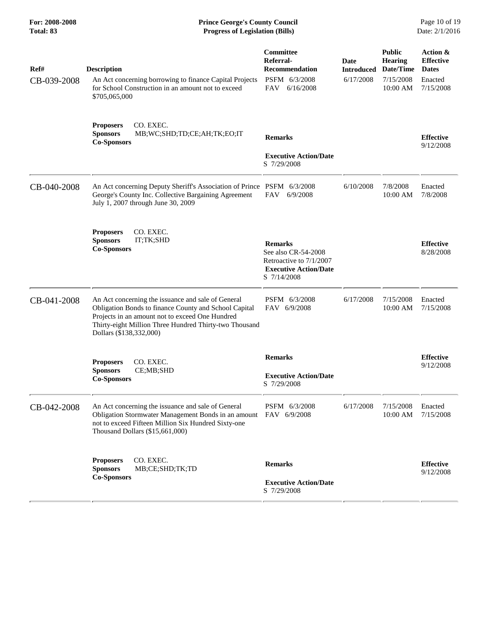| For: 2008-2008<br>Total: 83 | <b>Prince George's County Council</b><br><b>Progress of Legislation (Bills)</b>                                                                                                                                                                     |                                                                                                                 |                           |                                              | Page 10 of 19<br>Date: 2/1/2016              |
|-----------------------------|-----------------------------------------------------------------------------------------------------------------------------------------------------------------------------------------------------------------------------------------------------|-----------------------------------------------------------------------------------------------------------------|---------------------------|----------------------------------------------|----------------------------------------------|
| Ref#                        | <b>Description</b>                                                                                                                                                                                                                                  | Committee<br>Referral-<br><b>Recommendation</b>                                                                 | Date<br><b>Introduced</b> | <b>Public</b><br><b>Hearing</b><br>Date/Time | Action &<br><b>Effective</b><br><b>Dates</b> |
| CB-039-2008                 | An Act concerning borrowing to finance Capital Projects<br>for School Construction in an amount not to exceed<br>\$705,065,000                                                                                                                      | PSFM 6/3/2008<br>FAV<br>6/16/2008                                                                               | 6/17/2008                 | 7/15/2008<br>10:00 AM                        | Enacted<br>7/15/2008                         |
|                             | <b>Proposers</b><br>CO. EXEC.<br>MB;WC;SHD;TD;CE;AH;TK;EO;IT<br><b>Sponsors</b><br><b>Co-Sponsors</b>                                                                                                                                               | <b>Remarks</b>                                                                                                  |                           |                                              | <b>Effective</b><br>9/12/2008                |
|                             |                                                                                                                                                                                                                                                     | <b>Executive Action/Date</b><br>S 7/29/2008                                                                     |                           |                                              |                                              |
| CB-040-2008                 | An Act concerning Deputy Sheriff's Association of Prince PSFM 6/3/2008<br>George's County Inc. Collective Bargaining Agreement<br>July 1, 2007 through June 30, 2009                                                                                | FAV<br>6/9/2008                                                                                                 | 6/10/2008                 | 7/8/2008<br>10:00 AM                         | Enacted<br>7/8/2008                          |
|                             | CO. EXEC.<br><b>Proposers</b><br><b>Sponsors</b><br>IT;TK;SHD<br><b>Co-Sponsors</b>                                                                                                                                                                 | <b>Remarks</b><br>See also CR-54-2008<br>Retroactive to 7/1/2007<br><b>Executive Action/Date</b><br>S 7/14/2008 |                           |                                              | <b>Effective</b><br>8/28/2008                |
| CB-041-2008                 | An Act concerning the issuance and sale of General<br>Obligation Bonds to finance County and School Capital<br>Projects in an amount not to exceed One Hundred<br>Thirty-eight Million Three Hundred Thirty-two Thousand<br>Dollars (\$138,332,000) | PSFM 6/3/2008<br>FAV 6/9/2008                                                                                   | 6/17/2008                 | 7/15/2008<br>10:00 AM                        | Enacted<br>7/15/2008                         |
|                             | CO. EXEC.<br><b>Proposers</b>                                                                                                                                                                                                                       | <b>Remarks</b>                                                                                                  |                           |                                              | <b>Effective</b><br>9/12/2008                |
|                             | CE;MB;SHD<br><b>Sponsors</b><br><b>Co-Sponsors</b>                                                                                                                                                                                                  | <b>Executive Action/Date</b><br>S 7/29/2008                                                                     |                           |                                              |                                              |
| CB-042-2008                 | An Act concerning the issuance and sale of General<br>Obligation Stormwater Management Bonds in an amount<br>not to exceed Fifteen Million Six Hundred Sixty-one<br>Thousand Dollars (\$15,661,000)                                                 | PSFM 6/3/2008<br>FAV 6/9/2008                                                                                   | 6/17/2008                 | 7/15/2008<br>10:00 AM                        | Enacted<br>7/15/2008                         |
|                             | CO. EXEC.<br><b>Proposers</b><br><b>Sponsors</b><br>MB;CE;SHD;TK;TD<br><b>Co-Sponsors</b>                                                                                                                                                           | <b>Remarks</b><br><b>Executive Action/Date</b><br>S 7/29/2008                                                   |                           |                                              | <b>Effective</b><br>9/12/2008                |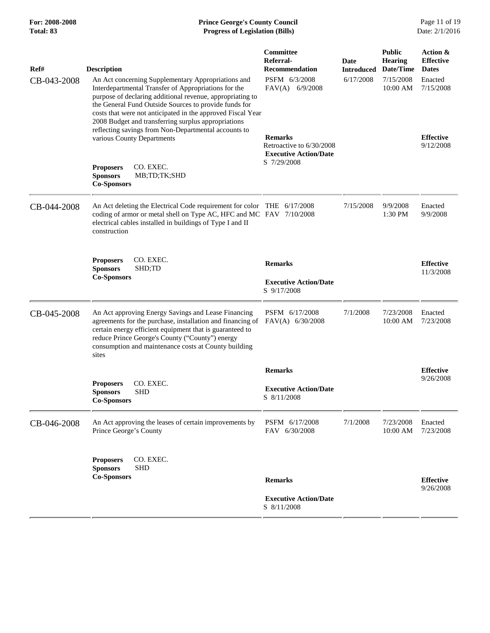| For: 2008-2008<br>Total: 83 | <b>Prince George's County Council</b><br><b>Progress of Legislation (Bills)</b>                                                                                                                                                                                                                                                                                                                                |                                                                            |                           |                                              | Page 11 of 19<br>Date: 2/1/2016              |
|-----------------------------|----------------------------------------------------------------------------------------------------------------------------------------------------------------------------------------------------------------------------------------------------------------------------------------------------------------------------------------------------------------------------------------------------------------|----------------------------------------------------------------------------|---------------------------|----------------------------------------------|----------------------------------------------|
| Ref#                        | <b>Description</b>                                                                                                                                                                                                                                                                                                                                                                                             | <b>Committee</b><br>Referral-<br><b>Recommendation</b>                     | Date<br><b>Introduced</b> | <b>Public</b><br><b>Hearing</b><br>Date/Time | Action &<br><b>Effective</b><br><b>Dates</b> |
| CB-043-2008                 | An Act concerning Supplementary Appropriations and<br>Interdepartmental Transfer of Appropriations for the<br>purpose of declaring additional revenue, appropriating to<br>the General Fund Outside Sources to provide funds for<br>costs that were not anticipated in the approved Fiscal Year<br>2008 Budget and transferring surplus appropriations<br>reflecting savings from Non-Departmental accounts to | PSFM 6/3/2008<br>$FAV(A)$ 6/9/2008                                         | 6/17/2008                 | 7/15/2008<br>10:00 AM                        | Enacted<br>7/15/2008                         |
|                             | various County Departments                                                                                                                                                                                                                                                                                                                                                                                     | <b>Remarks</b><br>Retroactive to 6/30/2008<br><b>Executive Action/Date</b> |                           |                                              | <b>Effective</b><br>9/12/2008                |
|                             | CO. EXEC.<br><b>Proposers</b><br><b>Sponsors</b><br>MB;TD;TK;SHD<br><b>Co-Sponsors</b>                                                                                                                                                                                                                                                                                                                         | S 7/29/2008                                                                |                           |                                              |                                              |
| CB-044-2008                 | An Act deleting the Electrical Code requirement for color THE 6/17/2008<br>coding of armor or metal shell on Type AC, HFC and MC FAV 7/10/2008<br>electrical cables installed in buildings of Type I and II<br>construction                                                                                                                                                                                    |                                                                            | 7/15/2008                 | 9/9/2008<br>1:30 PM                          | Enacted<br>9/9/2008                          |
|                             | <b>Proposers</b><br>CO. EXEC.<br>SHD;TD<br><b>Sponsors</b>                                                                                                                                                                                                                                                                                                                                                     | <b>Remarks</b>                                                             |                           |                                              | <b>Effective</b><br>11/3/2008                |
|                             | <b>Co-Sponsors</b>                                                                                                                                                                                                                                                                                                                                                                                             | <b>Executive Action/Date</b><br>S 9/17/2008                                |                           |                                              |                                              |
| CB-045-2008                 | An Act approving Energy Savings and Lease Financing<br>agreements for the purchase, installation and financing of<br>certain energy efficient equipment that is guaranteed to<br>reduce Prince George's County ("County") energy<br>consumption and maintenance costs at County building<br>sites                                                                                                              | PSFM 6/17/2008<br>FAV(A) 6/30/2008                                         | 7/1/2008                  | 7/23/2008<br>10:00 AM                        | Enacted<br>7/23/2008                         |
|                             |                                                                                                                                                                                                                                                                                                                                                                                                                | <b>Remarks</b>                                                             |                           |                                              | <b>Effective</b>                             |
|                             | CO. EXEC.<br><b>Proposers</b><br><b>Sponsors</b><br><b>SHD</b><br><b>Co-Sponsors</b>                                                                                                                                                                                                                                                                                                                           | <b>Executive Action/Date</b><br>S 8/11/2008                                |                           |                                              | 9/26/2008                                    |
| CB-046-2008                 | An Act approving the leases of certain improvements by<br>Prince George's County                                                                                                                                                                                                                                                                                                                               | PSFM 6/17/2008<br>FAV 6/30/2008                                            | 7/1/2008                  | 7/23/2008<br>10:00 AM                        | Enacted<br>7/23/2008                         |
|                             | CO. EXEC.<br><b>Proposers</b><br><b>Sponsors</b><br><b>SHD</b><br><b>Co-Sponsors</b>                                                                                                                                                                                                                                                                                                                           | <b>Remarks</b>                                                             |                           |                                              | <b>Effective</b>                             |
|                             |                                                                                                                                                                                                                                                                                                                                                                                                                |                                                                            |                           |                                              | 9/26/2008                                    |
|                             |                                                                                                                                                                                                                                                                                                                                                                                                                | <b>Executive Action/Date</b><br>S 8/11/2008                                |                           |                                              |                                              |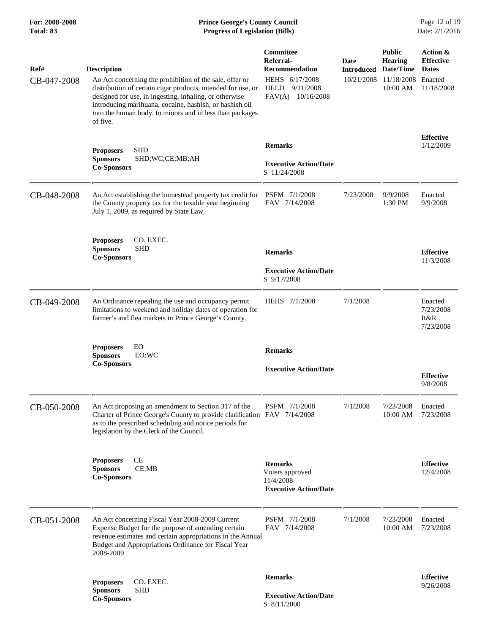## **For: 2008-2008 Prince George's County Council** Page 12 of 19<br> **Prince George's County Council** Page 12 of 19<br> **Progress of Legislation (Bills)** Date: 2/1/2016 **Total: 83 Progress of Legislation (Bills)**

| Ref#<br>CB-047-2008 | <b>Description</b><br>An Act concerning the prohibition of the sale, offer or<br>distribution of certain cigar products, intended for use, or<br>designed for use, in ingesting, inhaling, or otherwise<br>introducing marihuana, cocaine, hashish, or hashish oil<br>into the human body, to minors and in less than packages<br>of five. | Committee<br>Referral-<br><b>Recommendation</b><br>HEHS 6/17/2008<br><b>HELD</b><br>9/11/2008<br>FAV(A)<br>10/16/2008 | Date<br><b>Introduced</b><br>10/21/2008 | <b>Public</b><br><b>Hearing</b><br>Date/Time<br>11/18/2008<br>10:00 AM | Action &<br><b>Effective</b><br><b>Dates</b><br>Enacted<br>11/18/2008 |
|---------------------|--------------------------------------------------------------------------------------------------------------------------------------------------------------------------------------------------------------------------------------------------------------------------------------------------------------------------------------------|-----------------------------------------------------------------------------------------------------------------------|-----------------------------------------|------------------------------------------------------------------------|-----------------------------------------------------------------------|
|                     | <b>SHD</b><br><b>Proposers</b><br><b>Sponsors</b><br>SHD;WC;CE;MB;AH<br><b>Co-Sponsors</b>                                                                                                                                                                                                                                                 | <b>Remarks</b><br><b>Executive Action/Date</b><br>S 11/24/2008                                                        |                                         |                                                                        | <b>Effective</b><br>1/12/2009                                         |
| CB-048-2008         | An Act establishing the homestead property tax credit for<br>the County property tax for the taxable year beginning<br>July 1, 2009, as required by State Law                                                                                                                                                                              | PSFM 7/1/2008<br>FAV 7/14/2008                                                                                        | 7/23/2008                               | 9/9/2008<br>$1:30$ PM                                                  | Enacted<br>9/9/2008                                                   |
|                     | <b>Proposers</b><br>CO. EXEC.<br><b>Sponsors</b><br><b>SHD</b><br><b>Co-Sponsors</b>                                                                                                                                                                                                                                                       | <b>Remarks</b><br><b>Executive Action/Date</b><br>S 9/17/2008                                                         |                                         |                                                                        | <b>Effective</b><br>11/3/2008                                         |
| CB-049-2008         | An Ordinance repealing the use and occupancy permit<br>limitations to weekend and holiday dates of operation for<br>farmer's and flea markets in Prince George's County.                                                                                                                                                                   | HEHS 7/1/2008                                                                                                         | 7/1/2008                                |                                                                        | Enacted<br>7/23/2008<br>R&R<br>7/23/2008                              |
|                     | <b>Proposers</b><br>EO<br><b>Sponsors</b><br>EO;WC<br><b>Co-Sponsors</b>                                                                                                                                                                                                                                                                   | <b>Remarks</b><br><b>Executive Action/Date</b>                                                                        |                                         |                                                                        | <b>Effective</b><br>9/8/2008                                          |
| CB-050-2008         | An Act proposing an amendment to Section 317 of the<br>Charter of Prince George's County to provide clarification FAV 7/14/2008<br>as to the prescribed scheduling and notice periods for<br>legislation by the Clerk of the Council.                                                                                                      | PSFM 7/1/2008                                                                                                         | 7/1/2008                                | 7/23/2008<br>10:00 AM                                                  | Enacted<br>7/23/2008                                                  |
|                     | CE<br><b>Proposers</b><br><b>Sponsors</b><br>CE;MB<br><b>Co-Sponsors</b>                                                                                                                                                                                                                                                                   | <b>Remarks</b><br>Voters approved<br>11/4/2008<br><b>Executive Action/Date</b>                                        |                                         |                                                                        | <b>Effective</b><br>12/4/2008                                         |
| CB-051-2008         | An Act concerning Fiscal Year 2008-2009 Current<br>Expense Budget for the purpose of amending certain<br>revenue estimates and certain appropriations in the Annual<br>Budget and Appropriations Ordinance for Fiscal Year<br>2008-2009                                                                                                    | PSFM 7/1/2008<br>FAV 7/14/2008                                                                                        | 7/1/2008                                | 7/23/2008<br>10:00 AM                                                  | Enacted<br>7/23/2008                                                  |
|                     | CO. EXEC.<br><b>Proposers</b><br><b>Sponsors</b><br><b>SHD</b><br><b>Co-Sponsors</b>                                                                                                                                                                                                                                                       | <b>Remarks</b><br><b>Executive Action/Date</b><br>S 8/11/2008                                                         |                                         |                                                                        | <b>Effective</b><br>9/26/2008                                         |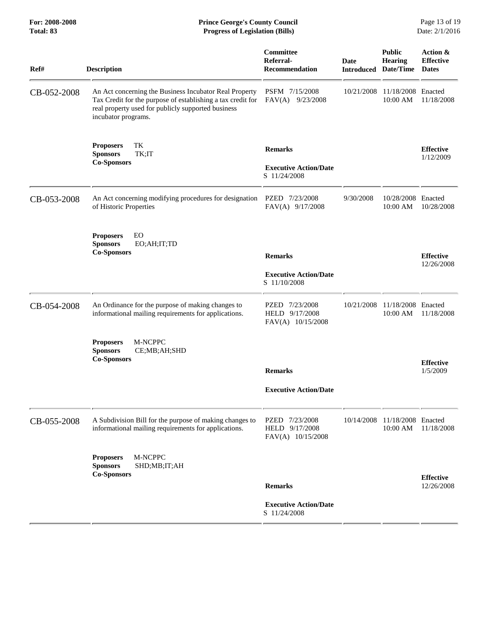| Total: 83   | <b>Progress of Legislation (Bills)</b>                                                                                                                                                             |                                                        |                                     |                                 | Date: 2/1/2016                               |
|-------------|----------------------------------------------------------------------------------------------------------------------------------------------------------------------------------------------------|--------------------------------------------------------|-------------------------------------|---------------------------------|----------------------------------------------|
| Ref#        | <b>Description</b>                                                                                                                                                                                 | <b>Committee</b><br>Referral-<br><b>Recommendation</b> | Date<br><b>Introduced Date/Time</b> | <b>Public</b><br><b>Hearing</b> | Action &<br><b>Effective</b><br><b>Dates</b> |
| CB-052-2008 | An Act concerning the Business Incubator Real Property<br>Tax Credit for the purpose of establishing a tax credit for<br>real property used for publicly supported business<br>incubator programs. | PSFM 7/15/2008<br>FAV(A) 9/23/2008                     | 10/21/2008                          | 11/18/2008 Enacted<br>10:00 AM  | 11/18/2008                                   |
|             | TK<br><b>Proposers</b><br><b>Sponsors</b><br>TK;IT                                                                                                                                                 | <b>Remarks</b>                                         |                                     |                                 | <b>Effective</b><br>1/12/2009                |
|             | <b>Co-Sponsors</b>                                                                                                                                                                                 | <b>Executive Action/Date</b><br>S 11/24/2008           |                                     |                                 |                                              |
| CB-053-2008 | An Act concerning modifying procedures for designation<br>of Historic Properties                                                                                                                   | PZED 7/23/2008<br>FAV(A) 9/17/2008                     | 9/30/2008                           | 10/28/2008 Enacted<br>10:00 AM  | 10/28/2008                                   |
|             | EO<br><b>Proposers</b><br><b>Sponsors</b><br>EO;AH;IT;TD<br><b>Co-Sponsors</b>                                                                                                                     | <b>Remarks</b>                                         |                                     |                                 | <b>Effective</b><br>12/26/2008               |
|             |                                                                                                                                                                                                    | <b>Executive Action/Date</b><br>S 11/10/2008           |                                     |                                 |                                              |
| CB-054-2008 | An Ordinance for the purpose of making changes to<br>informational mailing requirements for applications.                                                                                          | PZED 7/23/2008<br>HELD 9/17/2008<br>FAV(A) 10/15/2008  | 10/21/2008                          | 11/18/2008<br>10:00 AM          | Enacted<br>11/18/2008                        |
|             | M-NCPPC<br><b>Proposers</b><br><b>Sponsors</b><br>CE;MB;AH;SHD<br><b>Co-Sponsors</b>                                                                                                               | <b>Remarks</b>                                         |                                     |                                 | <b>Effective</b><br>1/5/2009                 |
|             |                                                                                                                                                                                                    | <b>Executive Action/Date</b>                           |                                     |                                 |                                              |
| CB-055-2008 | A Subdivision Bill for the purpose of making changes to<br>informational mailing requirements for applications.                                                                                    | PZED 7/23/2008<br>HELD 9/17/2008<br>FAV(A) 10/15/2008  | 10/14/2008                          | 11/18/2008 Enacted<br>10:00 AM  | 11/18/2008                                   |
|             | <b>M-NCPPC</b><br><b>Proposers</b><br><b>Sponsors</b><br>SHD;MB;IT;AH                                                                                                                              |                                                        |                                     |                                 |                                              |
|             | <b>Co-Sponsors</b>                                                                                                                                                                                 | <b>Remarks</b>                                         |                                     |                                 | <b>Effective</b><br>12/26/2008               |
|             |                                                                                                                                                                                                    | <b>Executive Action/Date</b><br>S 11/24/2008           |                                     |                                 |                                              |
|             |                                                                                                                                                                                                    |                                                        |                                     |                                 |                                              |

For: 2008-2008 **Prince George's County Council** Page 13 of 19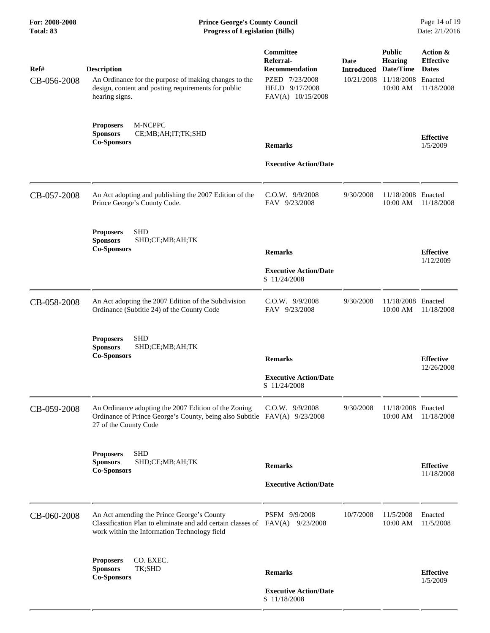| Ref#<br>CB-056-2008 | <b>Description</b><br>An Ordinance for the purpose of making changes to the<br>design, content and posting requirements for public<br>hearing signs.                         | Committee<br>Referral-<br><b>Recommendation</b><br>PZED 7/23/2008<br>HELD 9/17/2008<br>FAV(A) 10/15/2008 | Date<br><b>Introduced</b><br>10/21/2008 | <b>Public</b><br><b>Hearing</b><br>Date/Time<br>11/18/2008 Enacted<br>10:00 AM | Action &<br><b>Effective</b><br><b>Dates</b><br>11/18/2008 |
|---------------------|------------------------------------------------------------------------------------------------------------------------------------------------------------------------------|----------------------------------------------------------------------------------------------------------|-----------------------------------------|--------------------------------------------------------------------------------|------------------------------------------------------------|
|                     | M-NCPPC<br><b>Proposers</b><br>CE;MB;AH;IT;TK;SHD<br><b>Sponsors</b><br><b>Co-Sponsors</b>                                                                                   | <b>Remarks</b><br><b>Executive Action/Date</b>                                                           |                                         |                                                                                | <b>Effective</b><br>1/5/2009                               |
| CB-057-2008         | An Act adopting and publishing the 2007 Edition of the<br>Prince George's County Code.                                                                                       | $C.O.W.$ 9/9/2008<br>FAV 9/23/2008                                                                       | 9/30/2008                               | 11/18/2008 Enacted<br>10:00 AM                                                 | 11/18/2008                                                 |
|                     | <b>SHD</b><br><b>Proposers</b><br><b>Sponsors</b><br>SHD;CE;MB;AH;TK<br><b>Co-Sponsors</b>                                                                                   | <b>Remarks</b><br><b>Executive Action/Date</b><br>S 11/24/2008                                           |                                         |                                                                                | <b>Effective</b><br>1/12/2009                              |
| CB-058-2008         | An Act adopting the 2007 Edition of the Subdivision<br>Ordinance (Subtitle 24) of the County Code                                                                            | $C.O.W.$ 9/9/2008<br>FAV 9/23/2008                                                                       | 9/30/2008                               | 11/18/2008 Enacted<br>10:00 AM                                                 | 11/18/2008                                                 |
|                     | <b>SHD</b><br><b>Proposers</b><br><b>Sponsors</b><br>SHD;CE;MB;AH;TK<br><b>Co-Sponsors</b>                                                                                   | <b>Remarks</b><br><b>Executive Action/Date</b><br>S 11/24/2008                                           |                                         |                                                                                | <b>Effective</b><br>12/26/2008                             |
| CB-059-2008         | An Ordinance adopting the 2007 Edition of the Zoning<br>Ordinance of Prince George's County, being also Subtitle FAV(A) 9/23/2008<br>27 of the County Code                   | C.O.W. 9/9/2008                                                                                          | 9/30/2008                               | 11/18/2008 Enacted<br>10:00 AM                                                 | 11/18/2008                                                 |
|                     | <b>Proposers</b><br><b>SHD</b><br>SHD;CE;MB;AH;TK<br><b>Sponsors</b><br><b>Co-Sponsors</b>                                                                                   | <b>Remarks</b><br><b>Executive Action/Date</b>                                                           |                                         |                                                                                | <b>Effective</b><br>11/18/2008                             |
| CB-060-2008         | An Act amending the Prince George's County<br>Classification Plan to eliminate and add certain classes of $FAV(A)$ 9/23/2008<br>work within the Information Technology field | PSFM 9/9/2008                                                                                            | 10/7/2008                               | 11/5/2008<br>10:00 AM                                                          | Enacted<br>11/5/2008                                       |
|                     | CO. EXEC.<br><b>Proposers</b><br><b>Sponsors</b><br>TK;SHD<br><b>Co-Sponsors</b>                                                                                             | <b>Remarks</b><br><b>Executive Action/Date</b><br>S 11/18/2008                                           |                                         |                                                                                | <b>Effective</b><br>1/5/2009                               |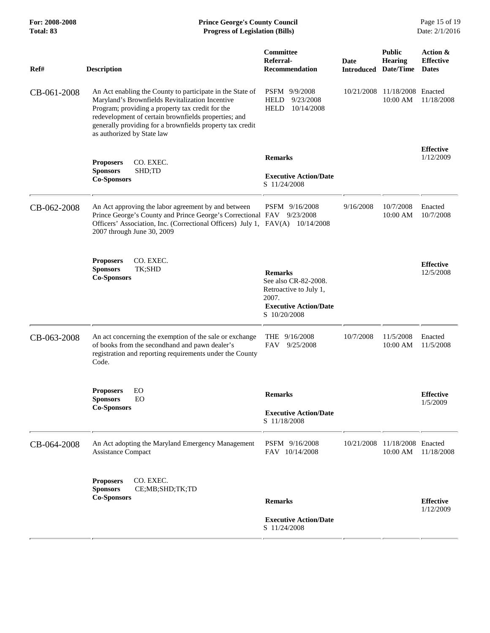| For: 2008-2008<br>Total: 83 | <b>Prince George's County Council</b><br><b>Progress of Legislation (Bills)</b>                                                                                                                                                                                                                                     |                                                                                                                           |                                            |                                           | Page 15 of 19<br>Date: 2/1/2016              |
|-----------------------------|---------------------------------------------------------------------------------------------------------------------------------------------------------------------------------------------------------------------------------------------------------------------------------------------------------------------|---------------------------------------------------------------------------------------------------------------------------|--------------------------------------------|-------------------------------------------|----------------------------------------------|
| Ref#                        | <b>Description</b>                                                                                                                                                                                                                                                                                                  | Committee<br>Referral-<br><b>Recommendation</b>                                                                           | <b>Date</b><br><b>Introduced Date/Time</b> | <b>Public</b><br><b>Hearing</b>           | Action &<br><b>Effective</b><br><b>Dates</b> |
| CB-061-2008                 | An Act enabling the County to participate in the State of<br>Maryland's Brownfields Revitalization Incentive<br>Program; providing a property tax credit for the<br>redevelopment of certain brownfields properties; and<br>generally providing for a brownfields property tax credit<br>as authorized by State law | PSFM 9/9/2008<br><b>HELD</b><br>9/23/2008<br><b>HELD</b><br>10/14/2008                                                    | 10/21/2008                                 | 11/18/2008 Enacted<br>10:00 AM            | 11/18/2008                                   |
|                             | CO. EXEC.<br><b>Proposers</b><br><b>Sponsors</b><br>SHD;TD<br><b>Co-Sponsors</b>                                                                                                                                                                                                                                    | <b>Remarks</b><br><b>Executive Action/Date</b><br>S 11/24/2008                                                            |                                            |                                           | <b>Effective</b><br>1/12/2009                |
| CB-062-2008                 | An Act approving the labor agreement by and between<br>Prince George's County and Prince George's Correctional FAV 9/23/2008<br>Officers' Association, Inc. (Correctional Officers) July 1, FAV(A) 10/14/2008<br>2007 through June 30, 2009                                                                         | PSFM 9/16/2008                                                                                                            | 9/16/2008                                  | 10/7/2008<br>10:00 AM                     | Enacted<br>10/7/2008                         |
|                             | <b>Proposers</b><br>CO. EXEC.<br><b>Sponsors</b><br>TK;SHD<br><b>Co-Sponsors</b>                                                                                                                                                                                                                                    | <b>Remarks</b><br>See also CR-82-2008.<br>Retroactive to July 1,<br>2007.<br><b>Executive Action/Date</b><br>S 10/20/2008 |                                            |                                           | <b>Effective</b><br>12/5/2008                |
| CB-063-2008                 | An act concerning the exemption of the sale or exchange<br>of books from the secondhand and pawn dealer's<br>registration and reporting requirements under the County<br>Code.                                                                                                                                      | THE 9/16/2008<br><b>FAV</b><br>9/25/2008                                                                                  | 10/7/2008                                  | 11/5/2008<br>10:00 AM                     | Enacted<br>11/5/2008                         |
|                             | EO<br><b>Proposers</b><br><b>Sponsors</b><br><b>EO</b><br><b>Co-Sponsors</b>                                                                                                                                                                                                                                        | <b>Remarks</b><br><b>Executive Action/Date</b><br>S 11/18/2008                                                            |                                            |                                           | <b>Effective</b><br>1/5/2009                 |
| CB-064-2008                 | An Act adopting the Maryland Emergency Management<br><b>Assistance Compact</b>                                                                                                                                                                                                                                      | PSFM 9/16/2008<br>FAV 10/14/2008                                                                                          | 10/21/2008                                 | 11/18/2008 Enacted<br>$10:00~\mathrm{AM}$ | 11/18/2008                                   |
|                             | CO. EXEC.<br><b>Proposers</b><br>CE;MB;SHD;TK;TD<br><b>Sponsors</b><br><b>Co-Sponsors</b>                                                                                                                                                                                                                           | <b>Remarks</b><br><b>Executive Action/Date</b><br>S 11/24/2008                                                            |                                            |                                           | <b>Effective</b><br>1/12/2009                |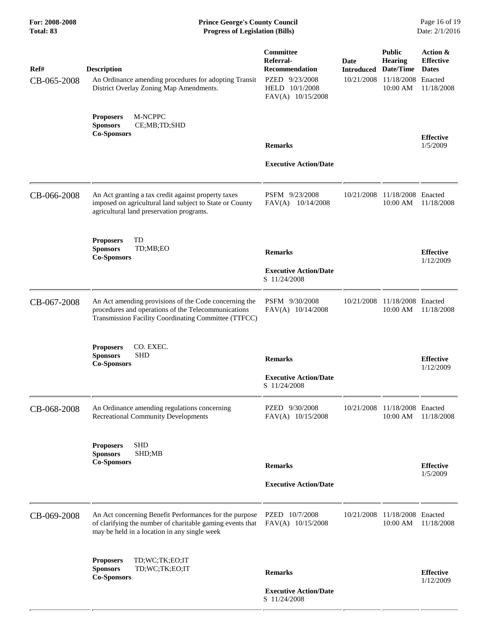| Ref#        | <b>Description</b>                                                                                                                                                   | Committee<br>Referral-<br><b>Recommendation</b>       | Date<br><b>Introduced</b> | <b>Public</b><br><b>Hearing</b><br>Date/Time | Action &<br><b>Effective</b><br><b>Dates</b> |
|-------------|----------------------------------------------------------------------------------------------------------------------------------------------------------------------|-------------------------------------------------------|---------------------------|----------------------------------------------|----------------------------------------------|
| CB-065-2008 | An Ordinance amending procedures for adopting Transit<br>District Overlay Zoning Map Amendments.                                                                     | PZED 9/23/2008<br>HELD 10/1/2008<br>FAV(A) 10/15/2008 | 10/21/2008                | 11/18/2008<br>10:00 AM                       | Enacted<br>11/18/2008                        |
|             | M-NCPPC<br><b>Proposers</b><br><b>Sponsors</b><br>CE;MB;TD;SHD<br><b>Co-Sponsors</b>                                                                                 |                                                       |                           |                                              |                                              |
|             |                                                                                                                                                                      | <b>Remarks</b>                                        |                           |                                              | <b>Effective</b><br>1/5/2009                 |
|             |                                                                                                                                                                      | <b>Executive Action/Date</b>                          |                           |                                              |                                              |
| CB-066-2008 | An Act granting a tax credit against property taxes<br>imposed on agricultural land subject to State or County<br>agricultural land preservation programs.           | PSFM 9/23/2008<br>FAV(A) 10/14/2008                   | 10/21/2008                | 11/18/2008 Enacted<br>10:00 AM               | 11/18/2008                                   |
|             | TD<br><b>Proposers</b><br>TD;MB;EO<br><b>Sponsors</b><br><b>Co-Sponsors</b>                                                                                          | <b>Remarks</b>                                        |                           |                                              | <b>Effective</b><br>1/12/2009                |
|             |                                                                                                                                                                      | <b>Executive Action/Date</b><br>S 11/24/2008          |                           |                                              |                                              |
| CB-067-2008 | An Act amending provisions of the Code concerning the<br>procedures and operations of the Telecommunications<br>Transmission Facility Coordinating Committee (TTFCC) | PSFM 9/30/2008<br>FAV(A) 10/14/2008                   | 10/21/2008                | 11/18/2008 Enacted<br>10:00 AM               | 11/18/2008                                   |
|             | CO. EXEC.<br><b>Proposers</b><br><b>Sponsors</b><br><b>SHD</b><br><b>Co-Sponsors</b>                                                                                 | <b>Remarks</b>                                        |                           |                                              | <b>Effective</b><br>1/12/2009                |
|             |                                                                                                                                                                      | <b>Executive Action/Date</b><br>S 11/24/2008          |                           |                                              |                                              |
| CB-068-2008 | An Ordinance amending regulations concerning<br><b>Recreational Community Developments</b>                                                                           | PZED 9/30/2008<br>FAV(A) 10/15/2008                   | 10/21/2008                | 11/18/2008 Enacted<br>10:00 AM               | 11/18/2008                                   |
|             | <b>SHD</b><br><b>Proposers</b><br><b>Sponsors</b><br>SHD;MB<br><b>Co-Sponsors</b>                                                                                    |                                                       |                           |                                              |                                              |
|             |                                                                                                                                                                      | <b>Remarks</b>                                        |                           |                                              | <b>Effective</b><br>1/5/2009                 |
|             |                                                                                                                                                                      | <b>Executive Action/Date</b>                          |                           |                                              |                                              |
| CB-069-2008 | An Act concerning Benefit Performances for the purpose<br>of clarifying the number of charitable gaming events that<br>may be held in a location in any single week  | PZED 10/7/2008<br>FAV(A) 10/15/2008                   | 10/21/2008                | 11/18/2008 Enacted<br>10:00 AM               | 11/18/2008                                   |
|             | TD;WC;TK;EO;IT<br><b>Proposers</b><br><b>Sponsors</b><br>TD;WC;TK;EO;IT<br><b>Co-Sponsors</b>                                                                        | <b>Remarks</b>                                        |                           |                                              | <b>Effective</b><br>1/12/2009                |
|             |                                                                                                                                                                      | <b>Executive Action/Date</b><br>S 11/24/2008          |                           |                                              |                                              |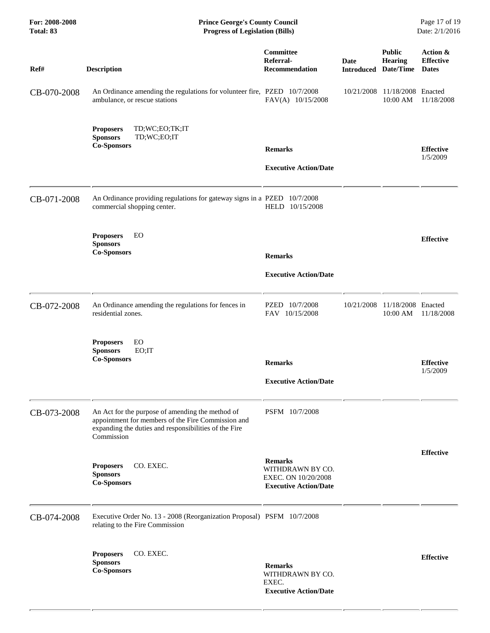| For: 2008-2008<br>Total: 83 | <b>Prince George's County Council</b><br><b>Progress of Legislation (Bills)</b><br>Date: 2/1/2016                                                                             |                                                                                           |                                     |                                 |                                              |
|-----------------------------|-------------------------------------------------------------------------------------------------------------------------------------------------------------------------------|-------------------------------------------------------------------------------------------|-------------------------------------|---------------------------------|----------------------------------------------|
| Ref#                        | <b>Description</b>                                                                                                                                                            | Committee<br>Referral-<br><b>Recommendation</b>                                           | Date<br><b>Introduced Date/Time</b> | <b>Public</b><br><b>Hearing</b> | Action &<br><b>Effective</b><br><b>Dates</b> |
| CB-070-2008                 | An Ordinance amending the regulations for volunteer fire, PZED 10/7/2008<br>ambulance, or rescue stations                                                                     | FAV(A) 10/15/2008                                                                         | 10/21/2008                          | 11/18/2008 Enacted<br>10:00 AM  | 11/18/2008                                   |
|                             | TD;WC;EO;TK;IT<br><b>Proposers</b><br><b>Sponsors</b><br>TD;WC;EO;IT<br><b>Co-Sponsors</b>                                                                                    | <b>Remarks</b><br><b>Executive Action/Date</b>                                            |                                     |                                 | <b>Effective</b><br>1/5/2009                 |
| CB-071-2008                 | An Ordinance providing regulations for gateway signs in a PZED 10/7/2008<br>commercial shopping center.                                                                       | HELD 10/15/2008                                                                           |                                     |                                 |                                              |
|                             | EO<br><b>Proposers</b><br><b>Sponsors</b><br><b>Co-Sponsors</b>                                                                                                               | <b>Remarks</b><br><b>Executive Action/Date</b>                                            |                                     |                                 | <b>Effective</b>                             |
| CB-072-2008                 | An Ordinance amending the regulations for fences in<br>residential zones.                                                                                                     | PZED 10/7/2008<br>FAV 10/15/2008                                                          | 10/21/2008                          | 11/18/2008 Enacted<br>10:00 AM  | 11/18/2008                                   |
|                             | EO<br><b>Proposers</b><br><b>Sponsors</b><br>EO;IT<br><b>Co-Sponsors</b>                                                                                                      | <b>Remarks</b><br><b>Executive Action/Date</b>                                            |                                     |                                 | <b>Effective</b><br>1/5/2009                 |
| CB-073-2008                 | An Act for the purpose of amending the method of<br>appointment for members of the Fire Commission and<br>expanding the duties and responsibilities of the Fire<br>Commission | PSFM 10/7/2008                                                                            |                                     |                                 |                                              |
|                             | <b>Proposers</b><br>CO. EXEC.<br><b>Sponsors</b><br><b>Co-Sponsors</b>                                                                                                        | <b>Remarks</b><br>WITHDRAWN BY CO.<br>EXEC. ON 10/20/2008<br><b>Executive Action/Date</b> |                                     |                                 | <b>Effective</b>                             |
| CB-074-2008                 | Executive Order No. 13 - 2008 (Reorganization Proposal) PSFM 10/7/2008<br>relating to the Fire Commission                                                                     |                                                                                           |                                     |                                 |                                              |
|                             | CO. EXEC.<br><b>Proposers</b><br><b>Sponsors</b><br><b>Co-Sponsors</b>                                                                                                        | <b>Remarks</b><br>WITHDRAWN BY CO.<br>EXEC.<br><b>Executive Action/Date</b>               |                                     |                                 | <b>Effective</b>                             |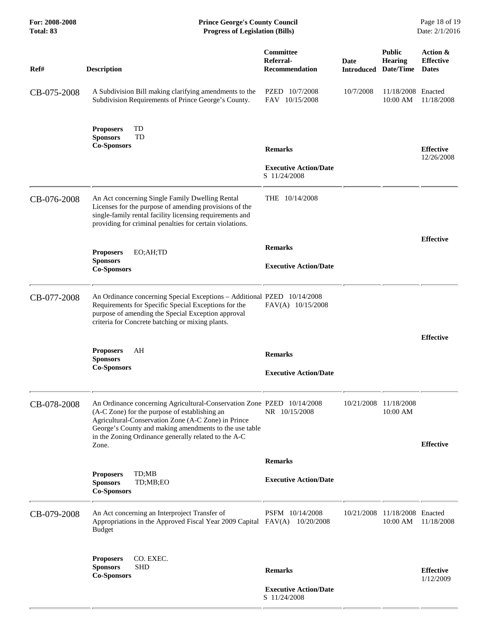| For: 2008-2008<br>Total: 83 | <b>Prince George's County Council</b><br>Date: 2/1/2016<br><b>Progress of Legislation (Bills)</b>                                                                                                                                                                                                         |                                                                |                    |                                              |                                              |
|-----------------------------|-----------------------------------------------------------------------------------------------------------------------------------------------------------------------------------------------------------------------------------------------------------------------------------------------------------|----------------------------------------------------------------|--------------------|----------------------------------------------|----------------------------------------------|
| Ref#                        | <b>Description</b>                                                                                                                                                                                                                                                                                        | Committee<br>Referral-<br><b>Recommendation</b>                | Date<br>Introduced | <b>Public</b><br><b>Hearing</b><br>Date/Time | Action &<br><b>Effective</b><br><b>Dates</b> |
| CB-075-2008                 | A Subdivision Bill making clarifying amendments to the<br>Subdivision Requirements of Prince George's County.                                                                                                                                                                                             | PZED 10/7/2008<br>FAV 10/15/2008                               | 10/7/2008          | 11/18/2008 Enacted<br>10:00 AM               | 11/18/2008                                   |
|                             | TD<br><b>Proposers</b><br>TD<br><b>Sponsors</b><br><b>Co-Sponsors</b>                                                                                                                                                                                                                                     | <b>Remarks</b><br><b>Executive Action/Date</b><br>S 11/24/2008 |                    |                                              | <b>Effective</b><br>12/26/2008               |
| CB-076-2008                 | An Act concerning Single Family Dwelling Rental<br>Licenses for the purpose of amending provisions of the<br>single-family rental facility licensing requirements and<br>providing for criminal penalties for certain violations.                                                                         | THE 10/14/2008                                                 |                    |                                              |                                              |
|                             | <b>Proposers</b><br>EO;AH;TD<br><b>Sponsors</b><br><b>Co-Sponsors</b>                                                                                                                                                                                                                                     | <b>Remarks</b><br><b>Executive Action/Date</b>                 |                    |                                              | <b>Effective</b>                             |
| CB-077-2008                 | An Ordinance concerning Special Exceptions - Additional PZED 10/14/2008<br>Requirements for Specific Special Exceptions for the<br>purpose of amending the Special Exception approval<br>criteria for Concrete batching or mixing plants.                                                                 | FAV(A) 10/15/2008                                              |                    |                                              |                                              |
|                             | AH<br><b>Proposers</b><br><b>Sponsors</b><br><b>Co-Sponsors</b>                                                                                                                                                                                                                                           | <b>Remarks</b><br><b>Executive Action/Date</b>                 |                    |                                              | <b>Effective</b>                             |
| CB-078-2008                 | An Ordinance concerning Agricultural-Conservation Zone PZED 10/14/2008<br>(A-C Zone) for the purpose of establishing an<br>Agricultural-Conservation Zone (A-C Zone) in Prince<br>George's County and making amendments to the use table<br>in the Zoning Ordinance generally related to the A-C<br>Zone. | NR 10/15/2008                                                  | 10/21/2008         | 11/18/2008<br>10:00 AM                       | <b>Effective</b>                             |
|                             |                                                                                                                                                                                                                                                                                                           | <b>Remarks</b>                                                 |                    |                                              |                                              |
|                             | TD;MB<br><b>Proposers</b><br><b>Sponsors</b><br>TD;MB;EO<br><b>Co-Sponsors</b>                                                                                                                                                                                                                            | <b>Executive Action/Date</b>                                   |                    |                                              |                                              |
| CB-079-2008                 | An Act concerning an Interproject Transfer of<br>Appropriations in the Approved Fiscal Year 2009 Capital FAV(A) 10/20/2008<br><b>Budget</b>                                                                                                                                                               | PSFM 10/14/2008                                                | 10/21/2008         | 11/18/2008 Enacted<br>10:00 AM               | 11/18/2008                                   |
|                             | CO. EXEC.<br><b>Proposers</b><br><b>Sponsors</b><br><b>SHD</b><br><b>Co-Sponsors</b>                                                                                                                                                                                                                      | <b>Remarks</b><br><b>Executive Action/Date</b><br>S 11/24/2008 |                    |                                              | <b>Effective</b><br>1/12/2009                |